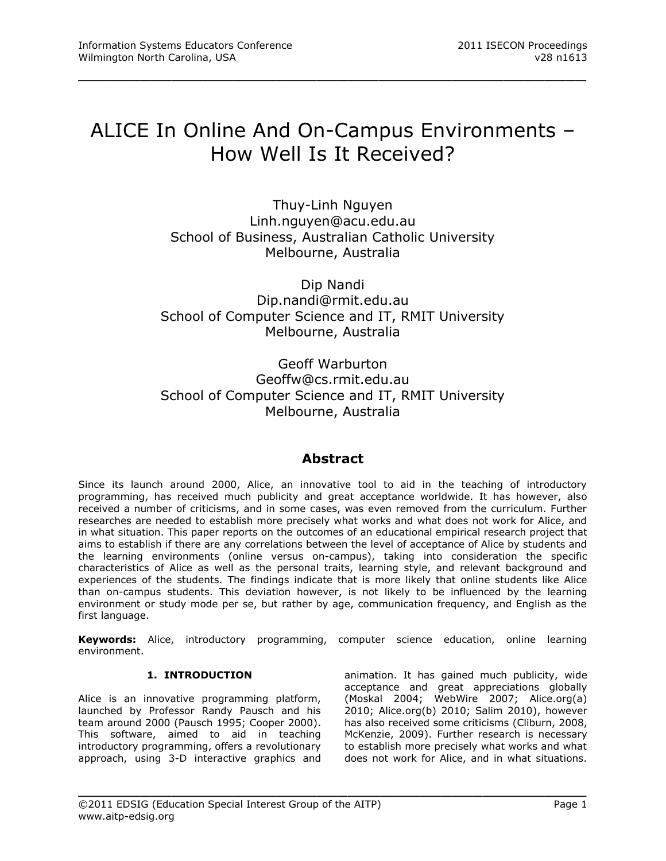# ALICE In Online And On-Campus Environments – How Well Is It Received?

\_\_\_\_\_\_\_\_\_\_\_\_\_\_\_\_\_\_\_\_\_\_\_\_\_\_\_\_\_\_\_\_\_\_\_\_\_\_\_\_\_\_\_\_\_\_\_\_\_

Thuy-Linh Nguyen [Linh.nguyen@acu.edu.au](mailto:Linh.nguyen@acu.edu.au) School of Business, Australian Catholic University Melbourne, Australia

Dip Nandi [Dip.nandi@rmit.edu.au](mailto:Dip.nandi@rmit.edu.au) School of Computer Science and IT, RMIT University Melbourne, Australia

Geoff Warburton [Geoffw@cs.rmit.edu.au](mailto:Geoffw@cs.rmit.edu.au) School of Computer Science and IT, RMIT University Melbourne, Australia

# **Abstract**

Since its launch around 2000, Alice, an innovative tool to aid in the teaching of introductory programming, has received much publicity and great acceptance worldwide. It has however, also received a number of criticisms, and in some cases, was even removed from the curriculum. Further researches are needed to establish more precisely what works and what does not work for Alice, and in what situation. This paper reports on the outcomes of an educational empirical research project that aims to establish if there are any correlations between the level of acceptance of Alice by students and the learning environments (online versus on-campus), taking into consideration the specific characteristics of Alice as well as the personal traits, learning style, and relevant background and experiences of the students. The findings indicate that is more likely that online students like Alice than on-campus students. This deviation however, is not likely to be influenced by the learning environment or study mode per se, but rather by age, communication frequency, and English as the first language.

**Keywords:** Alice, introductory programming, computer science education, online learning environment.

\_\_\_\_\_\_\_\_\_\_\_\_\_\_\_\_\_\_\_\_\_\_\_\_\_\_\_\_\_\_\_\_\_\_\_\_\_\_\_\_\_\_\_\_\_\_\_\_\_

#### **1. INTRODUCTION**

Alice is an innovative programming platform, launched by Professor Randy Pausch and his team around 2000 (Pausch 1995; Cooper 2000). This software, aimed to aid in teaching introductory programming, offers a revolutionary approach, using 3-D interactive graphics and animation. It has gained much publicity, wide acceptance and great appreciations globally (Moskal 2004; WebWire 2007; Alice.org(a) 2010; Alice.org(b) 2010; Salim 2010), however has also received some criticisms (Cliburn, 2008, McKenzie, 2009). Further research is necessary to establish more precisely what works and what does not work for Alice, and in what situations.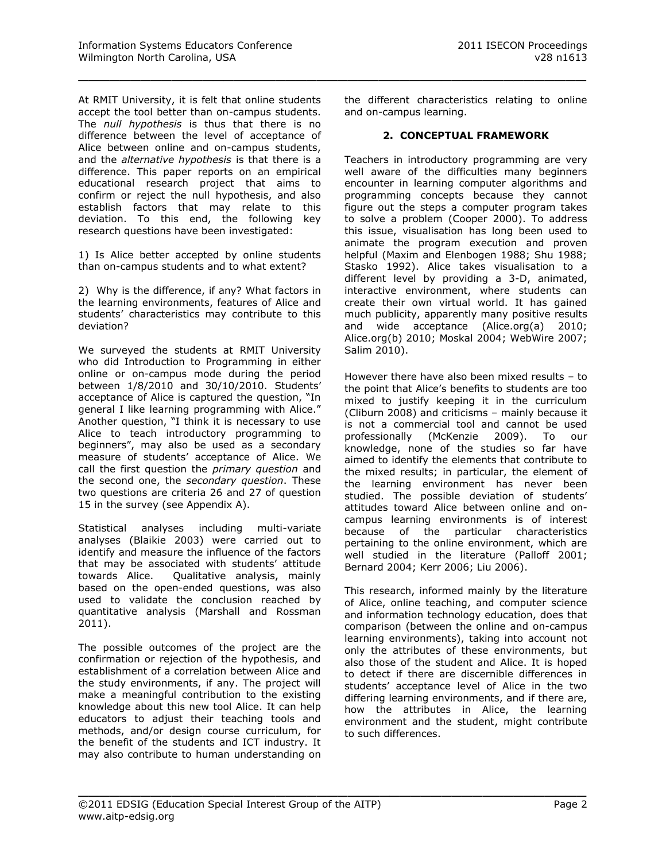At RMIT University, it is felt that online students accept the tool better than on-campus students. The *null hypothesis* is thus that there is no difference between the level of acceptance of Alice between online and on-campus students, and the *alternative hypothesis* is that there is a difference. This paper reports on an empirical educational research project that aims to confirm or reject the null hypothesis, and also establish factors that may relate to this deviation. To this end, the following key research questions have been investigated:

1) Is Alice better accepted by online students than on-campus students and to what extent?

2) Why is the difference, if any? What factors in the learning environments, features of Alice and students' characteristics may contribute to this deviation?

We surveyed the students at RMIT University who did Introduction to Programming in either online or on-campus mode during the period between 1/8/2010 and 30/10/2010. Students' acceptance of Alice is captured the question, "In general I like learning programming with Alice." Another question, "I think it is necessary to use Alice to teach introductory programming to beginners", may also be used as a secondary measure of students' acceptance of Alice. We call the first question the *primary question* and the second one, the *secondary question*. These two questions are criteria 26 and 27 of question 15 in the survey (see Appendix A).

Statistical analyses including multi-variate analyses (Blaikie 2003) were carried out to identify and measure the influence of the factors that may be associated with students' attitude towards Alice. Qualitative analysis, mainly based on the open-ended questions, was also used to validate the conclusion reached by quantitative analysis (Marshall and Rossman 2011).

The possible outcomes of the project are the confirmation or rejection of the hypothesis, and establishment of a correlation between Alice and the study environments, if any. The project will make a meaningful contribution to the existing knowledge about this new tool Alice. It can help educators to adjust their teaching tools and methods, and/or design course curriculum, for the benefit of the students and ICT industry. It may also contribute to human understanding on the different characteristics relating to online and on-campus learning.

\_\_\_\_\_\_\_\_\_\_\_\_\_\_\_\_\_\_\_\_\_\_\_\_\_\_\_\_\_\_\_\_\_\_\_\_\_\_\_\_\_\_\_\_\_\_\_\_\_

#### **2. CONCEPTUAL FRAMEWORK**

Teachers in introductory programming are very well aware of the difficulties many beginners encounter in learning computer algorithms and programming concepts because they cannot figure out the steps a computer program takes to solve a problem (Cooper 2000). To address this issue, visualisation has long been used to animate the program execution and proven helpful (Maxim and Elenbogen 1988; Shu 1988; Stasko 1992). Alice takes visualisation to a different level by providing a 3-D, animated, interactive environment, where students can create their own virtual world. It has gained much publicity, apparently many positive results and wide acceptance (Alice.org(a) 2010; Alice.org(b) 2010; Moskal 2004; WebWire 2007; Salim 2010).

However there have also been mixed results – to the point that Alice's benefits to students are too mixed to justify keeping it in the curriculum (Cliburn 2008) and criticisms – mainly because it is not a commercial tool and cannot be used professionally (McKenzie 2009). To our knowledge, none of the studies so far have aimed to identify the elements that contribute to the mixed results; in particular, the element of the learning environment has never been studied. The possible deviation of students' attitudes toward Alice between online and oncampus learning environments is of interest because of the particular characteristics pertaining to the online environment, which are well studied in the literature (Palloff 2001; Bernard 2004; Kerr 2006; Liu 2006).

This research, informed mainly by the literature of Alice, online teaching, and computer science and information technology education, does that comparison (between the online and on-campus learning environments), taking into account not only the attributes of these environments, but also those of the student and Alice. It is hoped to detect if there are discernible differences in students' acceptance level of Alice in the two differing learning environments, and if there are, how the attributes in Alice, the learning environment and the student, might contribute to such differences.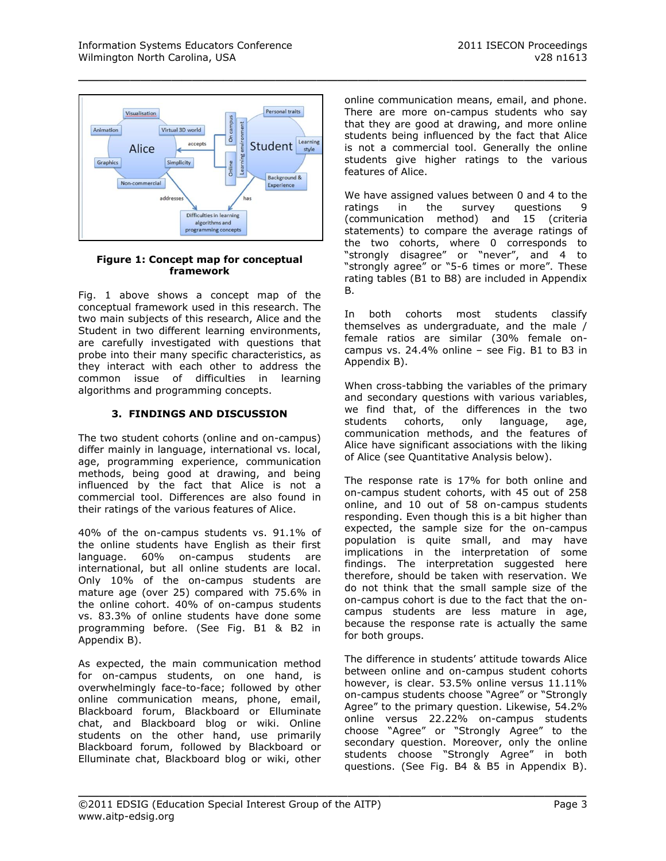

#### **Figure 1: Concept map for conceptual framework**

Fig. 1 above shows a concept map of the conceptual framework used in this research. The two main subjects of this research, Alice and the Student in two different learning environments, are carefully investigated with questions that probe into their many specific characteristics, as they interact with each other to address the common issue of difficulties in learning algorithms and programming concepts.

# **3. FINDINGS AND DISCUSSION**

The two student cohorts (online and on-campus) differ mainly in language, international vs. local, age, programming experience, communication methods, being good at drawing, and being influenced by the fact that Alice is not a commercial tool. Differences are also found in their ratings of the various features of Alice.

40% of the on-campus students vs. 91.1% of the online students have English as their first language. 60% on-campus students are international, but all online students are local. Only 10% of the on-campus students are mature age (over 25) compared with 75.6% in the online cohort. 40% of on-campus students vs. 83.3% of online students have done some programming before. (See Fig. B1 & B2 in Appendix B).

As expected, the main communication method for on-campus students, on one hand, is overwhelmingly face-to-face; followed by other online communication means, phone, email, Blackboard forum, Blackboard or Elluminate chat, and Blackboard blog or wiki. Online students on the other hand, use primarily Blackboard forum, followed by Blackboard or Elluminate chat, Blackboard blog or wiki, other

online communication means, email, and phone. There are more on-campus students who say that they are good at drawing, and more online students being influenced by the fact that Alice is not a commercial tool. Generally the online students give higher ratings to the various features of Alice.

We have assigned values between 0 and 4 to the ratings in the survey questions 9 (communication method) and 15 (criteria statements) to compare the average ratings of the two cohorts, where 0 corresponds to "strongly disagree" or "never", and 4 to "strongly agree" or "5-6 times or more". These rating tables (B1 to B8) are included in Appendix B.

In both cohorts most students classify themselves as undergraduate, and the male / female ratios are similar (30% female oncampus vs. 24.4% online  $-$  see Fig. B1 to B3 in Appendix B).

When cross-tabbing the variables of the primary and secondary questions with various variables, we find that, of the differences in the two students cohorts, only language, age, communication methods, and the features of Alice have significant associations with the liking of Alice (see Quantitative Analysis below).

The response rate is 17% for both online and on-campus student cohorts, with 45 out of 258 online, and 10 out of 58 on-campus students responding. Even though this is a bit higher than expected, the sample size for the on-campus population is quite small, and may have implications in the interpretation of some findings. The interpretation suggested here therefore, should be taken with reservation. We do not think that the small sample size of the on-campus cohort is due to the fact that the oncampus students are less mature in age, because the response rate is actually the same for both groups.

The difference in students' attitude towards Alice between online and on-campus student cohorts however, is clear. 53.5% online versus 11.11% on-campus students choose "Agree" or "Strongly Agree" to the primary question. Likewise, 54.2% online versus 22.22% on-campus students choose "Agree" or "Strongly Agree" to the secondary question. Moreover, only the online students choose "Strongly Agree" in both questions. (See Fig. B4 & B5 in Appendix B).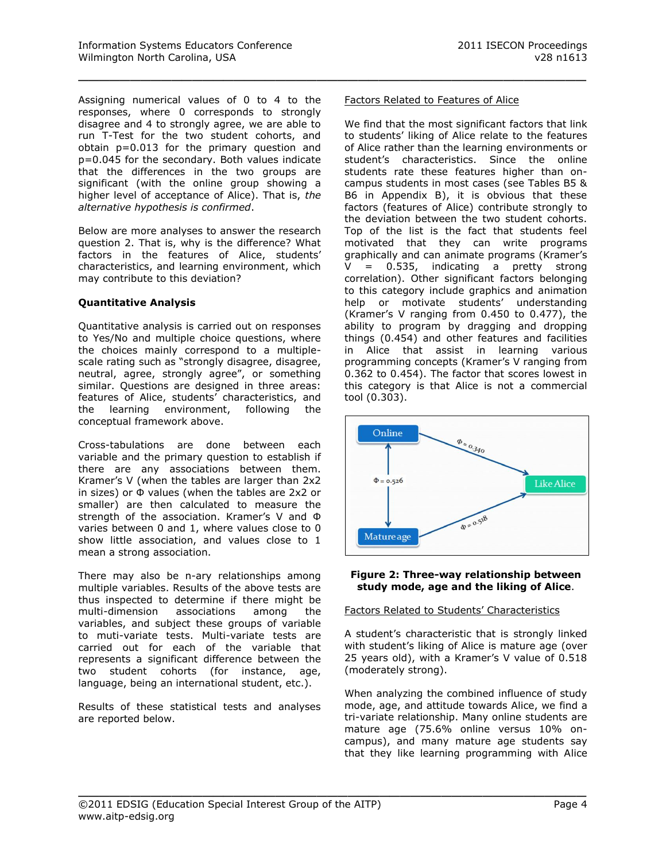Assigning numerical values of 0 to 4 to the responses, where 0 corresponds to strongly disagree and 4 to strongly agree, we are able to run T-Test for the two student cohorts, and obtain p=0.013 for the primary question and p=0.045 for the secondary. Both values indicate that the differences in the two groups are significant (with the online group showing a higher level of acceptance of Alice). That is, *the alternative hypothesis is confirmed*.

Below are more analyses to answer the research question 2. That is, why is the difference? What factors in the features of Alice, students' characteristics, and learning environment, which may contribute to this deviation?

# **Quantitative Analysis**

Quantitative analysis is carried out on responses to Yes/No and multiple choice questions, where the choices mainly correspond to a multiplescale rating such as "strongly disagree, disagree, neutral, agree, strongly agree", or something similar. Questions are designed in three areas: features of Alice, students' characteristics, and the learning environment, following the conceptual framework above.

Cross-tabulations are done between each variable and the primary question to establish if there are any associations between them. Kramer's V (when the tables are larger than 2x2 in sizes) or Φ values (when the tables are 2x2 or smaller) are then calculated to measure the strength of the association. Kramer's V and Φ varies between 0 and 1, where values close to 0 show little association, and values close to 1 mean a strong association.

There may also be n-ary relationships among multiple variables. Results of the above tests are thus inspected to determine if there might be multi-dimension associations among the variables, and subject these groups of variable to muti-variate tests. Multi-variate tests are carried out for each of the variable that represents a significant difference between the two student cohorts (for instance, age, language, being an international student, etc.).

Results of these statistical tests and analyses are reported below.

#### Factors Related to Features of Alice

\_\_\_\_\_\_\_\_\_\_\_\_\_\_\_\_\_\_\_\_\_\_\_\_\_\_\_\_\_\_\_\_\_\_\_\_\_\_\_\_\_\_\_\_\_\_\_\_\_

We find that the most significant factors that link to students' liking of Alice relate to the features of Alice rather than the learning environments or student's characteristics. Since the online students rate these features higher than oncampus students in most cases (see Tables B5 & B6 in Appendix B), it is obvious that these factors (features of Alice) contribute strongly to the deviation between the two student cohorts. Top of the list is the fact that students feel motivated that they can write programs graphically and can animate programs (Kramer's  $V = 0.535$ , indicating a pretty strong correlation). Other significant factors belonging to this category include graphics and animation help or motivate students' understanding (Kramer's V ranging from 0.450 to 0.477), the ability to program by dragging and dropping things (0.454) and other features and facilities in Alice that assist in learning various programming concepts (Kramer's V ranging from 0.362 to 0.454). The factor that scores lowest in this category is that Alice is not a commercial tool (0.303).



#### **Figure 2: Three-way relationship between study mode, age and the liking of Alice**.

#### Factors Related to Students' Characteristics

A student's characteristic that is strongly linked with student's liking of Alice is mature age (over 25 years old), with a Kramer's V value of 0.518 (moderately strong).

When analyzing the combined influence of study mode, age, and attitude towards Alice, we find a tri-variate relationship. Many online students are mature age (75.6% online versus 10% oncampus), and many mature age students say that they like learning programming with Alice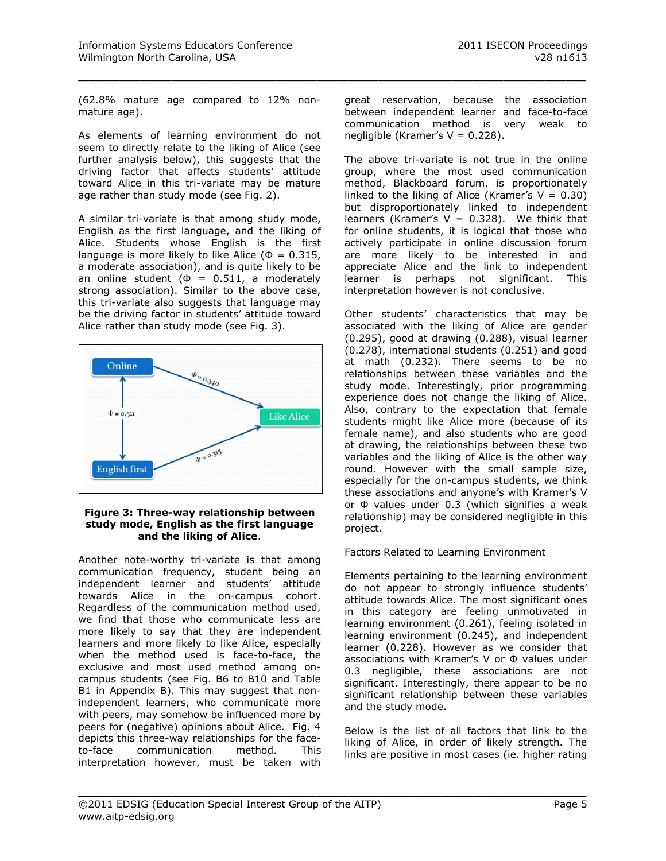(62.8% mature age compared to 12% nonmature age).

\_\_\_\_\_\_\_\_\_\_\_\_\_\_\_\_\_\_\_\_\_\_\_\_\_\_\_\_\_\_\_\_\_\_\_\_\_\_\_\_\_\_\_\_\_\_\_\_\_

As elements of learning environment do not seem to directly relate to the liking of Alice (see further analysis below), this suggests that the driving factor that affects students' attitude toward Alice in this tri-variate may be mature age rather than study mode (see Fig. 2).

A similar tri-variate is that among study mode, English as the first language, and the liking of Alice. Students whose English is the first language is more likely to like Alice ( $\Phi = 0.315$ , a moderate association), and is quite likely to be an online student ( $\Phi = 0.511$ , a moderately strong association). Similar to the above case, this tri-variate also suggests that language may be the driving factor in students' attitude toward Alice rather than study mode (see Fig. 3).



#### **Figure 3: Three-way relationship between study mode, English as the first language and the liking of Alice**.

Another note-worthy tri-variate is that among communication frequency, student being an independent learner and students' attitude towards Alice in the on-campus cohort. Regardless of the communication method used, we find that those who communicate less are more likely to say that they are independent learners and more likely to like Alice, especially when the method used is face-to-face, the exclusive and most used method among oncampus students (see Fig. B6 to B10 and Table B1 in Appendix B). This may suggest that nonindependent learners, who communicate more with peers, may somehow be influenced more by peers for (negative) opinions about Alice. Fig. 4 depicts this three-way relationships for the faceto-face communication method. This interpretation however, must be taken with

great reservation, because the association between independent learner and face-to-face communication method is very weak to negligible (Kramer's  $V = 0.228$ ).

The above tri-variate is not true in the online group, where the most used communication method, Blackboard forum, is proportionately linked to the liking of Alice (Kramer's  $V = 0.30$ ) but disproportionately linked to independent learners (Kramer's  $V = 0.328$ ). We think that for online students, it is logical that those who actively participate in online discussion forum are more likely to be interested in and appreciate Alice and the link to independent learner is perhaps not significant. This interpretation however is not conclusive.

Other students' characteristics that may be associated with the liking of Alice are gender (0.295), good at drawing (0.288), visual learner (0.278), international students (0.251) and good at math (0.232). There seems to be no relationships between these variables and the study mode. Interestingly, prior programming experience does not change the liking of Alice. Also, contrary to the expectation that female students might like Alice more (because of its female name), and also students who are good at drawing, the relationships between these two variables and the liking of Alice is the other way round. However with the small sample size, especially for the on-campus students, we think these associations and anyone's with Kramer's V or Φ values under 0.3 (which signifies a weak relationship) may be considered negligible in this project.

# Factors Related to Learning Environment

Elements pertaining to the learning environment do not appear to strongly influence students' attitude towards Alice. The most significant ones in this category are feeling unmotivated in learning environment (0.261), feeling isolated in learning environment (0.245), and independent learner (0.228). However as we consider that associations with Kramer's V or Φ values under 0.3 negligible, these associations are not significant. Interestingly, there appear to be no significant relationship between these variables and the study mode.

Below is the list of all factors that link to the liking of Alice, in order of likely strength. The links are positive in most cases (ie. higher rating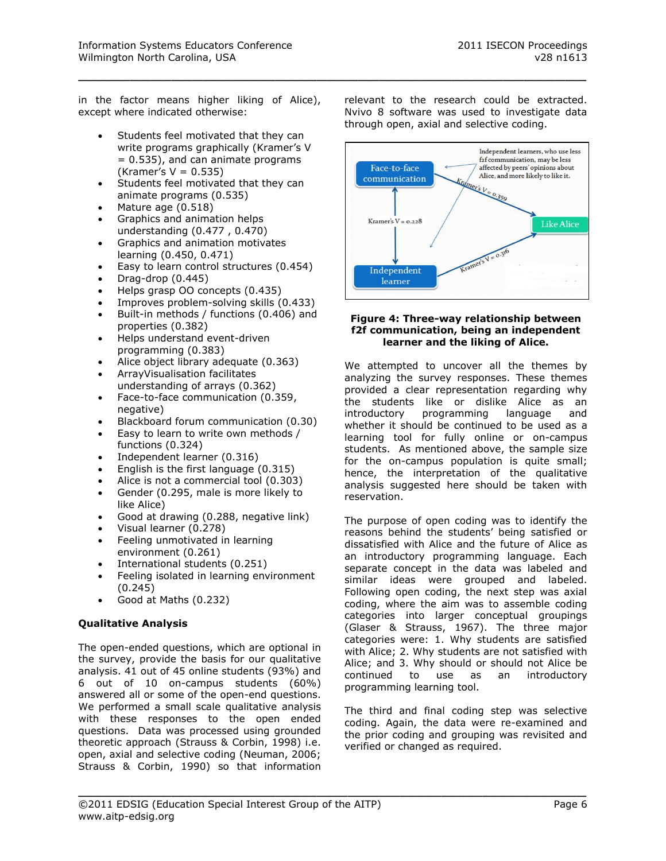in the factor means higher liking of Alice), except where indicated otherwise:

\_\_\_\_\_\_\_\_\_\_\_\_\_\_\_\_\_\_\_\_\_\_\_\_\_\_\_\_\_\_\_\_\_\_\_\_\_\_\_\_\_\_\_\_\_\_\_\_\_

- Students feel motivated that they can write programs graphically (Kramer's V = 0.535), and can animate programs  $(Kramer's V = 0.535)$
- Students feel motivated that they can animate programs (0.535)
- Mature age (0.518)
- Graphics and animation helps understanding (0.477 , 0.470)
- Graphics and animation motivates learning (0.450, 0.471)
- Easy to learn control structures (0.454)
- Drag-drop (0.445)
- Helps grasp OO concepts (0.435)
- Improves problem-solving skills (0.433)
- Built-in methods / functions (0.406) and properties (0.382)
- Helps understand event-driven programming (0.383)
- Alice object library adequate (0.363)
- ArrayVisualisation facilitates understanding of arrays (0.362)
- Face-to-face communication (0.359, negative)
- Blackboard forum communication (0.30)
- Easy to learn to write own methods / functions (0.324)
- Independent learner (0.316)
- English is the first language (0.315)
- Alice is not a commercial tool (0.303)
- Gender (0.295, male is more likely to like Alice)
- Good at drawing (0.288, negative link)
- Visual learner (0.278)
- Feeling unmotivated in learning environment (0.261)
- International students (0.251)
- Feeling isolated in learning environment (0.245)
- Good at Maths (0.232)

# **Qualitative Analysis**

The open-ended questions, which are optional in the survey, provide the basis for our qualitative analysis. 41 out of 45 online students (93%) and 6 out of 10 on-campus students (60%) answered all or some of the open-end questions. We performed a small scale qualitative analysis with these responses to the open ended questions. Data was processed using grounded theoretic approach (Strauss & Corbin, 1998) i.e. open, axial and selective coding (Neuman, 2006; Strauss & Corbin, 1990) so that information

relevant to the research could be extracted. Nvivo 8 software was used to investigate data through open, axial and selective coding.



#### **Figure 4: Three-way relationship between f2f communication, being an independent learner and the liking of Alice.**

We attempted to uncover all the themes by analyzing the survey responses. These themes provided a clear representation regarding why the students like or dislike Alice as an introductory programming language and whether it should be continued to be used as a learning tool for fully online or on-campus students. As mentioned above, the sample size for the on-campus population is quite small; hence, the interpretation of the qualitative analysis suggested here should be taken with reservation.

The purpose of open coding was to identify the reasons behind the students' being satisfied or dissatisfied with Alice and the future of Alice as an introductory programming language. Each separate concept in the data was labeled and similar ideas were grouped and labeled. Following open coding, the next step was axial coding, where the aim was to assemble coding categories into larger conceptual groupings (Glaser & Strauss, 1967). The three major categories were: 1. Why students are satisfied with Alice; 2. Why students are not satisfied with Alice; and 3. Why should or should not Alice be continued to use as an introductory programming learning tool.

The third and final coding step was selective coding. Again, the data were re-examined and the prior coding and grouping was revisited and verified or changed as required.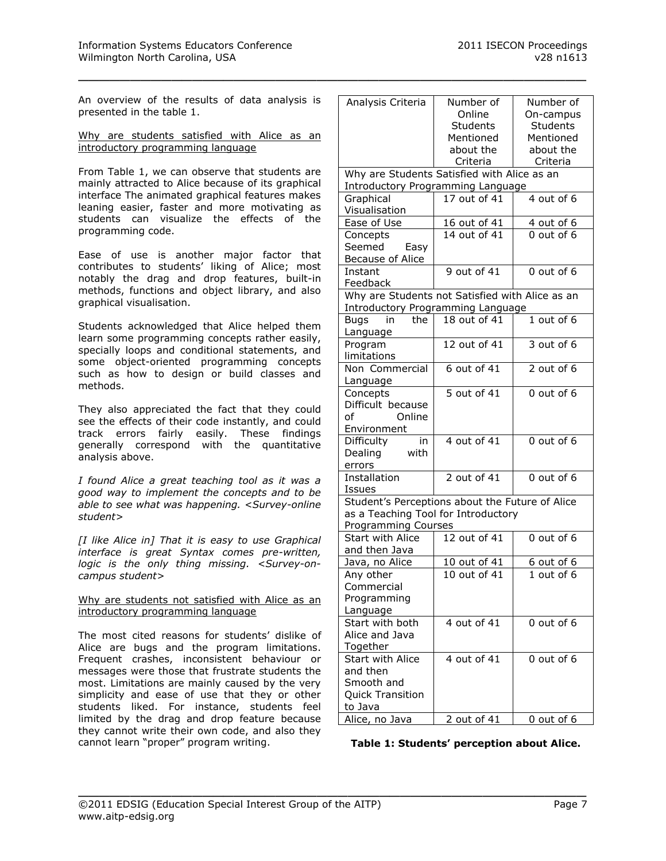An overview of the results of data analysis is presented in the table 1.

\_\_\_\_\_\_\_\_\_\_\_\_\_\_\_\_\_\_\_\_\_\_\_\_\_\_\_\_\_\_\_\_\_\_\_\_\_\_\_\_\_\_\_\_\_\_\_\_\_

Why are students satisfied with Alice as an introductory programming language

From Table 1, we can observe that students are mainly attracted to Alice because of its graphical interface The animated graphical features makes leaning easier, faster and more motivating as students can visualize the effects of the programming code.

Ease of use is another major factor that contributes to students' liking of Alice; most notably the drag and drop features, built-in methods, functions and object library, and also graphical visualisation.

Students acknowledged that Alice helped them learn some programming concepts rather easily, specially loops and conditional statements, and some object-oriented programming concepts such as how to design or build classes and methods.

They also appreciated the fact that they could see the effects of their code instantly, and could track errors fairly easily. These findings generally correspond with the quantitative analysis above.

*I found Alice a great teaching tool as it was a good way to implement the concepts and to be able to see what was happening. <Survey-online student>*

*[I like Alice in] That it is easy to use Graphical interface is great Syntax comes pre-written, logic is the only thing missing. <Survey-oncampus student>*

Why are students not satisfied with Alice as an introductory programming language

The most cited reasons for students' dislike of Alice are bugs and the program limitations. Frequent crashes, inconsistent behaviour or messages were those that frustrate students the most. Limitations are mainly caused by the very simplicity and ease of use that they or other students liked. For instance, students feel limited by the drag and drop feature because they cannot write their own code, and also they cannot learn "proper" program writing.

| Analysis Criteria                               | Number of       | Number of       |  |  |
|-------------------------------------------------|-----------------|-----------------|--|--|
|                                                 | Online          | On-campus       |  |  |
|                                                 | <b>Students</b> | <b>Students</b> |  |  |
|                                                 | Mentioned       | Mentioned       |  |  |
|                                                 | about the       | about the       |  |  |
|                                                 | Criteria        | Criteria        |  |  |
| Why are Students Satisfied with Alice as an     |                 |                 |  |  |
| <b>Introductory Programming Language</b>        |                 |                 |  |  |
| Graphical                                       | 17 out of 41    | 4 out of 6      |  |  |
| Visualisation                                   |                 |                 |  |  |
| Ease of Use                                     | 16 out of 41    | 4 out of 6      |  |  |
| Concepts                                        | 14 out of 41    | 0 out of 6      |  |  |
| Seemed<br>Easy                                  |                 |                 |  |  |
| Because of Alice                                |                 |                 |  |  |
| Instant                                         | 9 out of 41     | 0 out of 6      |  |  |
| Feedback                                        |                 |                 |  |  |
| Why are Students not Satisfied with Alice as an |                 |                 |  |  |
| Introductory Programming Language               |                 |                 |  |  |
| the<br><b>Buas</b><br>in                        | 18 out of 41    | $1$ out of 6    |  |  |
| Language                                        |                 |                 |  |  |
| Program                                         | 12 out of 41    | 3 out of 6      |  |  |
| limitations                                     |                 |                 |  |  |
| Non Commercial                                  | 6 out of 41     | 2 out of 6      |  |  |
| Language                                        |                 |                 |  |  |
| Concepts                                        | 5 out of 41     | $0$ out of $6$  |  |  |
| Difficult because                               |                 |                 |  |  |
| of<br>Online                                    |                 |                 |  |  |
| Environment                                     |                 |                 |  |  |
| Difficulty<br>in                                | 4 out of 41     | 0 out of 6      |  |  |
| Dealing<br>with                                 |                 |                 |  |  |
| errors                                          |                 |                 |  |  |
| Installation                                    | 2 out of 41     | 0 out of 6      |  |  |
| Issues                                          |                 |                 |  |  |
| Student's Perceptions about the Future of Alice |                 |                 |  |  |
| as a Teaching Tool for Introductory             |                 |                 |  |  |
| <b>Programming Courses</b>                      |                 |                 |  |  |
| <b>Start with Alice</b>                         | 12 out of 41    | 0 out of 6      |  |  |
| and then Java                                   |                 |                 |  |  |
| Java, no Alice                                  | 10 out of 41    | 6 out of 6      |  |  |
| Any other                                       | 10 out of 41    | 1 out of 6      |  |  |
| Commercial                                      |                 |                 |  |  |
| Programming                                     |                 |                 |  |  |
| Language                                        |                 |                 |  |  |
| Start with both                                 | 4 out of 41     | 0 out of 6      |  |  |
| Alice and Java                                  |                 |                 |  |  |
| Together                                        |                 |                 |  |  |
| <b>Start with Alice</b>                         | 4 out of 41     | $0$ out of $6$  |  |  |
| and then                                        |                 |                 |  |  |
| Smooth and                                      |                 |                 |  |  |
| <b>Quick Transition</b>                         |                 |                 |  |  |
| to Java                                         |                 |                 |  |  |
| Alice, no Java                                  | 2 out of 41     | 0 out of 6      |  |  |

| Table 1: Students' perception about Alice. |  |  |
|--------------------------------------------|--|--|
|--------------------------------------------|--|--|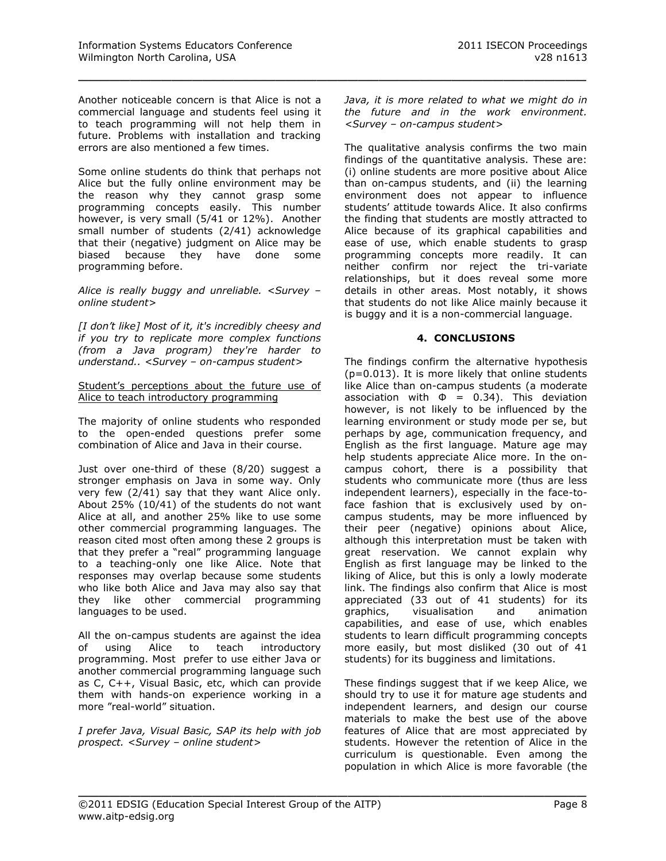Another noticeable concern is that Alice is not a commercial language and students feel using it to teach programming will not help them in future. Problems with installation and tracking errors are also mentioned a few times.

\_\_\_\_\_\_\_\_\_\_\_\_\_\_\_\_\_\_\_\_\_\_\_\_\_\_\_\_\_\_\_\_\_\_\_\_\_\_\_\_\_\_\_\_\_\_\_\_\_

Some online students do think that perhaps not Alice but the fully online environment may be the reason why they cannot grasp some programming concepts easily. This number however, is very small (5/41 or 12%). Another small number of students (2/41) acknowledge that their (negative) judgment on Alice may be biased because they have done some programming before.

*Alice is really buggy and unreliable. <Survey – online student>*

*[I don't like] Most of it, it's incredibly cheesy and if you try to replicate more complex functions (from a Java program) they're harder to understand.. <Survey – on-campus student>*

#### Student's perceptions about the future use of Alice to teach introductory programming

The majority of online students who responded to the open-ended questions prefer some combination of Alice and Java in their course.

Just over one-third of these (8/20) suggest a stronger emphasis on Java in some way. Only very few (2/41) say that they want Alice only. About 25% (10/41) of the students do not want Alice at all, and another 25% like to use some other commercial programming languages. The reason cited most often among these 2 groups is that they prefer a "real" programming language to a teaching-only one like Alice. Note that responses may overlap because some students who like both Alice and Java may also say that they like other commercial programming languages to be used.

All the on-campus students are against the idea of using Alice to teach introductory programming. Most prefer to use either Java or another commercial programming language such as C, C++, Visual Basic, etc, which can provide them with hands-on experience working in a more "real-world" situation.

*I prefer Java, Visual Basic, SAP its help with job prospect. <Survey – online student>*

*Java, it is more related to what we might do in the future and in the work environment. <Survey – on-campus student>*

The qualitative analysis confirms the two main findings of the quantitative analysis. These are: (i) online students are more positive about Alice than on-campus students, and (ii) the learning environment does not appear to influence students' attitude towards Alice. It also confirms the finding that students are mostly attracted to Alice because of its graphical capabilities and ease of use, which enable students to grasp programming concepts more readily. It can neither confirm nor reject the tri-variate relationships, but it does reveal some more details in other areas. Most notably, it shows that students do not like Alice mainly because it is buggy and it is a non-commercial language.

### **4. CONCLUSIONS**

The findings confirm the alternative hypothesis (p=0.013). It is more likely that online students like Alice than on-campus students (a moderate association with  $\Phi = 0.34$ ). This deviation however, is not likely to be influenced by the learning environment or study mode per se, but perhaps by age, communication frequency, and English as the first language. Mature age may help students appreciate Alice more. In the oncampus cohort, there is a possibility that students who communicate more (thus are less independent learners), especially in the face-toface fashion that is exclusively used by oncampus students, may be more influenced by their peer (negative) opinions about Alice, although this interpretation must be taken with great reservation. We cannot explain why English as first language may be linked to the liking of Alice, but this is only a lowly moderate link. The findings also confirm that Alice is most appreciated (33 out of 41 students) for its graphics, visualisation and animation capabilities, and ease of use, which enables students to learn difficult programming concepts more easily, but most disliked (30 out of 41 students) for its bugginess and limitations.

These findings suggest that if we keep Alice, we should try to use it for mature age students and independent learners, and design our course materials to make the best use of the above features of Alice that are most appreciated by students. However the retention of Alice in the curriculum is questionable. Even among the population in which Alice is more favorable (the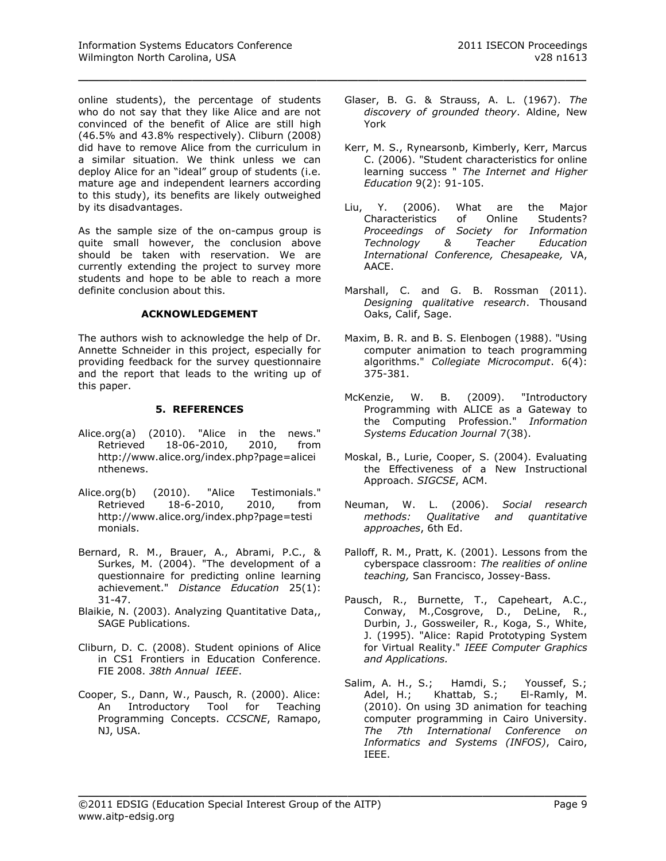online students), the percentage of students who do not say that they like Alice and are not convinced of the benefit of Alice are still high (46.5% and 43.8% respectively). Cliburn (2008) did have to remove Alice from the curriculum in a similar situation. We think unless we can deploy Alice for an "ideal" group of students (i.e. mature age and independent learners according to this study), its benefits are likely outweighed by its disadvantages.

As the sample size of the on-campus group is quite small however, the conclusion above should be taken with reservation. We are currently extending the project to survey more students and hope to be able to reach a more definite conclusion about this.

### **ACKNOWLEDGEMENT**

The authors wish to acknowledge the help of Dr. Annette Schneider in this project, especially for providing feedback for the survey questionnaire and the report that leads to the writing up of this paper.

# **5. REFERENCES**

- Alice.org(a) (2010). "Alice in the news." Retrieved 18-06-2010, 2010, from [http://www.alice.org/index.php?page=alicei](http://www.alice.org/index.php?page=aliceinthenews) [nthenews.](http://www.alice.org/index.php?page=aliceinthenews)
- Alice.org(b) (2010). "Alice Testimonials." Retrieved 18-6-2010, 2010, from [http://www.alice.org/index.php?page=testi](http://www.alice.org/index.php?page=testimonials) [monials.](http://www.alice.org/index.php?page=testimonials)
- Bernard, R. M., Brauer, A., Abrami, P.C., & Surkes, M. (2004). "The development of a questionnaire for predicting online learning achievement." *Distance Education* 25(1): 31-47.
- Blaikie, N. (2003). Analyzing Quantitative Data,, SAGE Publications.
- Cliburn, D. C. (2008). Student opinions of Alice in CS1 Frontiers in Education Conference. FIE 2008. *38th Annual IEEE*.
- Cooper, S., Dann, W., Pausch, R. (2000). Alice: An Introductory Tool for Teaching Programming Concepts. *CCSCNE*, Ramapo, NJ, USA.

Glaser, B. G. & Strauss, A. L. (1967). *The discovery of grounded theory*. Aldine, New York

\_\_\_\_\_\_\_\_\_\_\_\_\_\_\_\_\_\_\_\_\_\_\_\_\_\_\_\_\_\_\_\_\_\_\_\_\_\_\_\_\_\_\_\_\_\_\_\_\_

- Kerr, M. S., Rynearsonb, Kimberly, Kerr, Marcus C. (2006). "Student characteristics for online learning success " *The Internet and Higher Education* 9(2): 91-105.
- Liu, Y. (2006). What are the Major Characteristics of Online Students? *Proceedings of Society for Information Technology & Teacher Education International Conference, Chesapeake,* VA, AACE.
- Marshall, C. and G. B. Rossman (2011). *Designing qualitative research*. Thousand Oaks, Calif, Sage.
- Maxim, B. R. and B. S. Elenbogen (1988). "Using computer animation to teach programming algorithms." *Collegiate Microcomput*. 6(4): 375-381.
- McKenzie, W. B. (2009). "Introductory Programming with ALICE as a Gateway to the Computing Profession." *Information Systems Education Journal* 7(38).
- Moskal, B., Lurie, Cooper, S. (2004). Evaluating the Effectiveness of a New Instructional Approach. *SIGCSE*, ACM.
- Neuman, W. L. (2006). *Social research methods: Qualitative and quantitative approaches*, 6th Ed.
- Palloff, R. M., Pratt, K. (2001). Lessons from the cyberspace classroom: *The realities of online teaching,* San Francisco, Jossey-Bass.
- Pausch, R., Burnette, T., Capeheart, A.C., Conway, M.,Cosgrove, D., DeLine, R., Durbin, J., Gossweiler, R., Koga, S., White, J. (1995). "Alice: Rapid Prototyping System for Virtual Reality." *IEEE Computer Graphics and Applications.*
- Salim, A. H., S.; Hamdi, S.; Youssef, S.;<br>Adel, H.; Khattab, S.; El-Ramly, M. Adel, H.; Khattab, S.; (2010). On using 3D animation for teaching computer programming in Cairo University. *The 7th International Conference on Informatics and Systems (INFOS)*, Cairo, IEEE.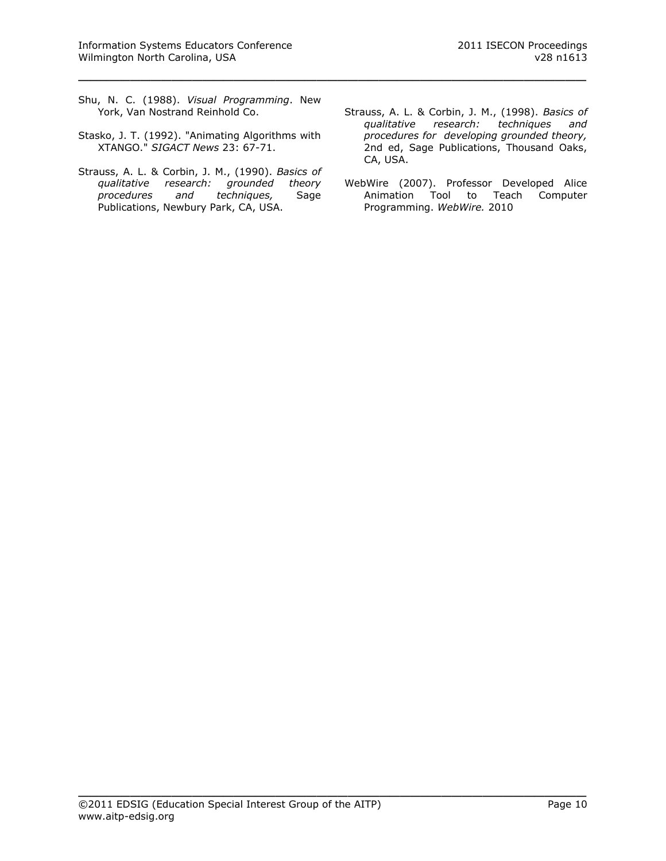Shu, N. C. (1988). *Visual Programming*. New York, Van Nostrand Reinhold Co.

\_\_\_\_\_\_\_\_\_\_\_\_\_\_\_\_\_\_\_\_\_\_\_\_\_\_\_\_\_\_\_\_\_\_\_\_\_\_\_\_\_\_\_\_\_\_\_\_\_

- Stasko, J. T. (1992). "Animating Algorithms with XTANGO." *SIGACT News* 23: 67-71.
- Strauss, A. L. & Corbin, J. M., (1990). *Basics of qualitative research: grounded theory procedures and techniques,* Sage Publications, Newbury Park, CA, USA.
- Strauss, A. L. & Corbin, J. M., (1998). *Basics of qualitative research: techniques and procedures for developing grounded theory,* 2nd ed, Sage Publications, Thousand Oaks, CA, USA.
- WebWire (2007). Professor Developed Alice Animation Tool to Teach Computer Programming. *WebWire.* 2010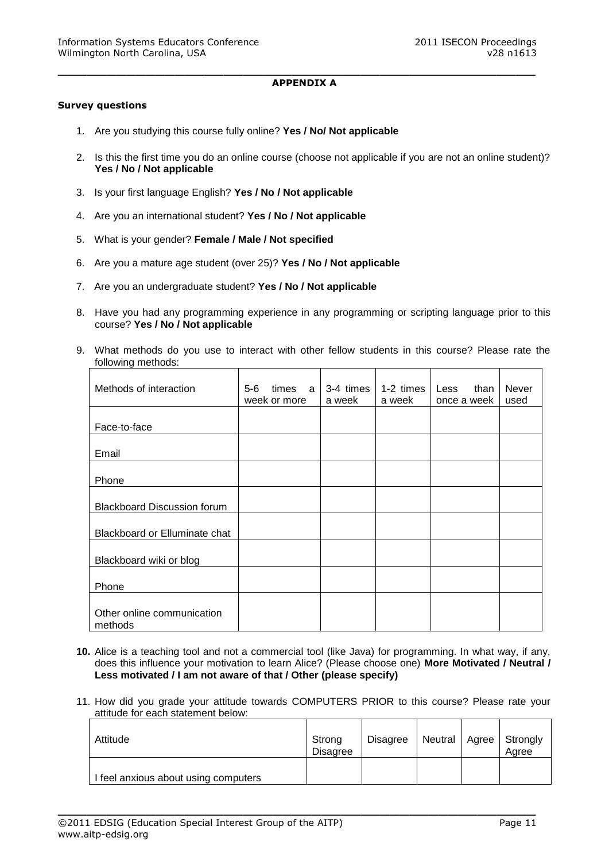#### **APPENDIX A**

\_\_\_\_\_\_\_\_\_\_\_\_\_\_\_\_\_\_\_\_\_\_\_\_\_\_\_\_\_\_\_\_\_\_\_\_\_\_\_\_\_\_\_\_\_\_\_\_\_

#### **Survey questions**

- 1. Are you studying this course fully online? **Yes / No/ Not applicable**
- 2. Is this the first time you do an online course (choose not applicable if you are not an online student)? **Yes / No / Not applicable**
- 3. Is your first language English? **Yes / No / Not applicable**
- 4. Are you an international student? **Yes / No / Not applicable**
- 5. What is your gender? **Female / Male / Not specified**
- 6. Are you a mature age student (over 25)? **Yes / No / Not applicable**
- 7. Are you an undergraduate student? **Yes / No / Not applicable**
- 8. Have you had any programming experience in any programming or scripting language prior to this course? **Yes / No / Not applicable**
- 9. What methods do you use to interact with other fellow students in this course? Please rate the following methods:

| Methods of interaction                | $5-6$ | times<br>week or more | a | 3-4 times<br>a week | 1-2 times<br>a week | Less<br>once a week | than | <b>Never</b><br>used |
|---------------------------------------|-------|-----------------------|---|---------------------|---------------------|---------------------|------|----------------------|
| Face-to-face                          |       |                       |   |                     |                     |                     |      |                      |
| Email                                 |       |                       |   |                     |                     |                     |      |                      |
| Phone                                 |       |                       |   |                     |                     |                     |      |                      |
| <b>Blackboard Discussion forum</b>    |       |                       |   |                     |                     |                     |      |                      |
| Blackboard or Elluminate chat         |       |                       |   |                     |                     |                     |      |                      |
| Blackboard wiki or blog               |       |                       |   |                     |                     |                     |      |                      |
| Phone                                 |       |                       |   |                     |                     |                     |      |                      |
| Other online communication<br>methods |       |                       |   |                     |                     |                     |      |                      |

- **10.** Alice is a teaching tool and not a commercial tool (like Java) for programming. In what way, if any, does this influence your motivation to learn Alice? (Please choose one) **More Motivated / Neutral / Less motivated / I am not aware of that / Other (please specify)**
- 11. How did you grade your attitude towards COMPUTERS PRIOR to this course? Please rate your attitude for each statement below:

| Attitude                           | Strong<br><b>Disagree</b> | <b>Disagree</b> |  | Neutral   Agree   Strongly<br>Aaree |
|------------------------------------|---------------------------|-----------------|--|-------------------------------------|
| feel anxious about using computers |                           |                 |  |                                     |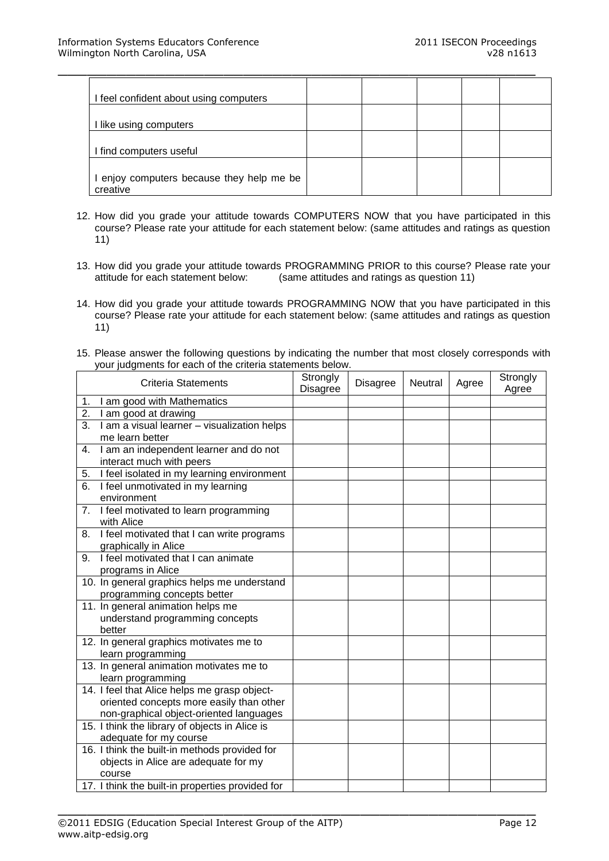| I feel confident about using computers              |  |  |  |
|-----------------------------------------------------|--|--|--|
| I like using computers                              |  |  |  |
| I find computers useful                             |  |  |  |
| enjoy computers because they help me be<br>creative |  |  |  |

- 12. How did you grade your attitude towards COMPUTERS NOW that you have participated in this course? Please rate your attitude for each statement below: (same attitudes and ratings as question 11)
- 13. How did you grade your attitude towards PROGRAMMING PRIOR to this course? Please rate your attitude for each statement below: (same attitudes and ratings as question 11)  $(same$  attitudes and ratings as question 11)
- 14. How did you grade your attitude towards PROGRAMMING NOW that you have participated in this course? Please rate your attitude for each statement below: (same attitudes and ratings as question 11)
- 15. Please answer the following questions by indicating the number that most closely corresponds with your judgments for each of the criteria statements below.

| <b>Criteria Statements</b>                                                                                                          | Strongly<br><b>Disagree</b> | <b>Disagree</b> | Neutral | Agree | Strongly<br>Agree |
|-------------------------------------------------------------------------------------------------------------------------------------|-----------------------------|-----------------|---------|-------|-------------------|
| I am good with Mathematics<br>1.                                                                                                    |                             |                 |         |       |                   |
| 2.<br>I am good at drawing                                                                                                          |                             |                 |         |       |                   |
| I am a visual learner - visualization helps<br>3.<br>me learn better                                                                |                             |                 |         |       |                   |
| I am an independent learner and do not<br>4.<br>interact much with peers                                                            |                             |                 |         |       |                   |
| I feel isolated in my learning environment<br>5.                                                                                    |                             |                 |         |       |                   |
| I feel unmotivated in my learning<br>6.<br>environment                                                                              |                             |                 |         |       |                   |
| I feel motivated to learn programming<br>7.<br>with Alice                                                                           |                             |                 |         |       |                   |
| I feel motivated that I can write programs<br>8.<br>graphically in Alice                                                            |                             |                 |         |       |                   |
| I feel motivated that I can animate<br>9.<br>programs in Alice                                                                      |                             |                 |         |       |                   |
| 10. In general graphics helps me understand<br>programming concepts better                                                          |                             |                 |         |       |                   |
| 11. In general animation helps me<br>understand programming concepts<br>better                                                      |                             |                 |         |       |                   |
| 12. In general graphics motivates me to<br>learn programming                                                                        |                             |                 |         |       |                   |
| 13. In general animation motivates me to<br>learn programming                                                                       |                             |                 |         |       |                   |
| 14. I feel that Alice helps me grasp object-<br>oriented concepts more easily than other<br>non-graphical object-oriented languages |                             |                 |         |       |                   |
| 15. I think the library of objects in Alice is<br>adequate for my course                                                            |                             |                 |         |       |                   |
| 16. I think the built-in methods provided for<br>objects in Alice are adequate for my<br>course                                     |                             |                 |         |       |                   |
| 17. I think the built-in properties provided for                                                                                    |                             |                 |         |       |                   |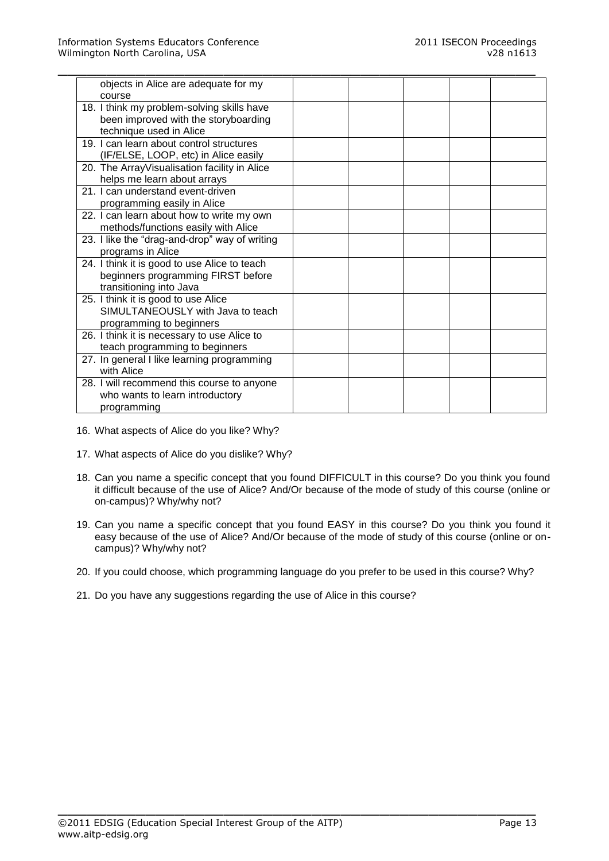| objects in Alice are adequate for my          |  |  |  |
|-----------------------------------------------|--|--|--|
| course                                        |  |  |  |
| 18. I think my problem-solving skills have    |  |  |  |
| been improved with the storyboarding          |  |  |  |
| technique used in Alice                       |  |  |  |
| 19. I can learn about control structures      |  |  |  |
| (IF/ELSE, LOOP, etc) in Alice easily          |  |  |  |
| 20. The ArrayVisualisation facility in Alice  |  |  |  |
| helps me learn about arrays                   |  |  |  |
| 21. I can understand event-driven             |  |  |  |
| programming easily in Alice                   |  |  |  |
| 22. I can learn about how to write my own     |  |  |  |
| methods/functions easily with Alice           |  |  |  |
| 23. I like the "drag-and-drop" way of writing |  |  |  |
| programs in Alice                             |  |  |  |
| 24. I think it is good to use Alice to teach  |  |  |  |
| beginners programming FIRST before            |  |  |  |
| transitioning into Java                       |  |  |  |
| 25. I think it is good to use Alice           |  |  |  |
| SIMULTANEOUSLY with Java to teach             |  |  |  |
| programming to beginners                      |  |  |  |
| 26. I think it is necessary to use Alice to   |  |  |  |
| teach programming to beginners                |  |  |  |
| 27. In general I like learning programming    |  |  |  |
| with Alice                                    |  |  |  |
| 28. I will recommend this course to anyone    |  |  |  |
| who wants to learn introductory               |  |  |  |
| programming                                   |  |  |  |

16. What aspects of Alice do you like? Why?

- 17. What aspects of Alice do you dislike? Why?
- 18. Can you name a specific concept that you found DIFFICULT in this course? Do you think you found it difficult because of the use of Alice? And/Or because of the mode of study of this course (online or on-campus)? Why/why not?
- 19. Can you name a specific concept that you found EASY in this course? Do you think you found it easy because of the use of Alice? And/Or because of the mode of study of this course (online or oncampus)? Why/why not?

20. If you could choose, which programming language do you prefer to be used in this course? Why?

 $\_$  , and the contribution of the contribution of  $\mathcal{L}_1$  , and  $\mathcal{L}_2$  , and  $\mathcal{L}_3$  , and  $\mathcal{L}_4$  , and  $\mathcal{L}_5$  , and  $\mathcal{L}_6$  , and  $\mathcal{L}_7$  , and  $\mathcal{L}_8$  , and  $\mathcal{L}_7$  , and  $\mathcal{L}_8$  , and  $\mathcal{L}_9$  ,

21. Do you have any suggestions regarding the use of Alice in this course?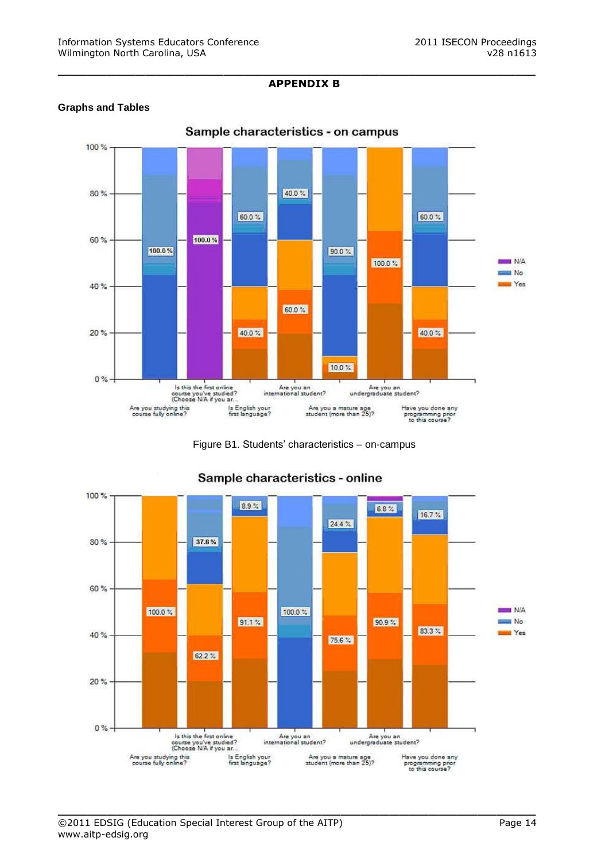# **APPENDIX B**

\_\_\_\_\_\_\_\_\_\_\_\_\_\_\_\_\_\_\_\_\_\_\_\_\_\_\_\_\_\_\_\_\_\_\_\_\_\_\_\_\_\_\_\_\_\_\_\_\_

# **Graphs and Tables**



Figure B1. Students' characteristics – on-campus



 $\_$  , and the contribution of the contribution of  $\mathcal{L}_1$  , and  $\mathcal{L}_2$  , and  $\mathcal{L}_3$  , and  $\mathcal{L}_4$  , and  $\mathcal{L}_5$  , and  $\mathcal{L}_6$  , and  $\mathcal{L}_7$  , and  $\mathcal{L}_8$  , and  $\mathcal{L}_7$  , and  $\mathcal{L}_8$  , and  $\mathcal{L}_9$  ,

# Sample characteristics - online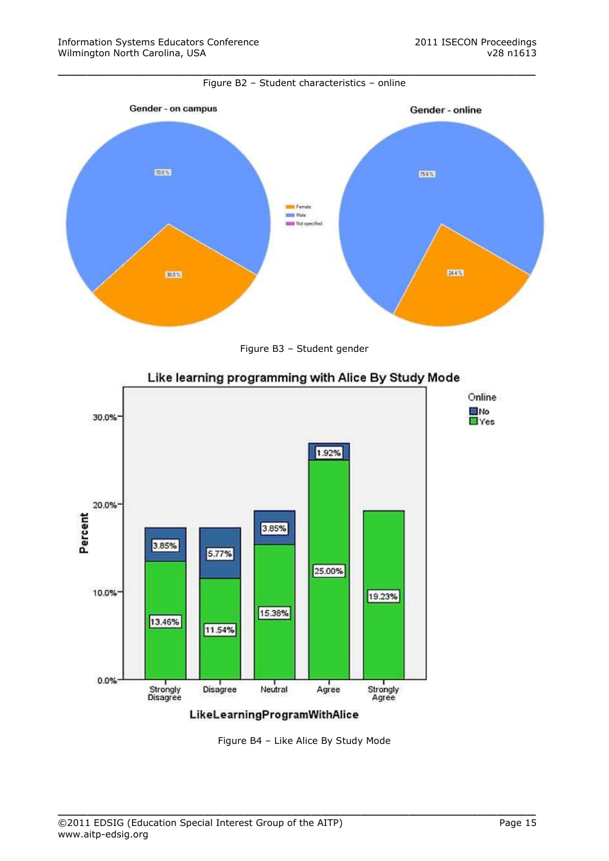





# Like learning programming with Alice By Study Mode

Figure B4 – Like Alice By Study Mode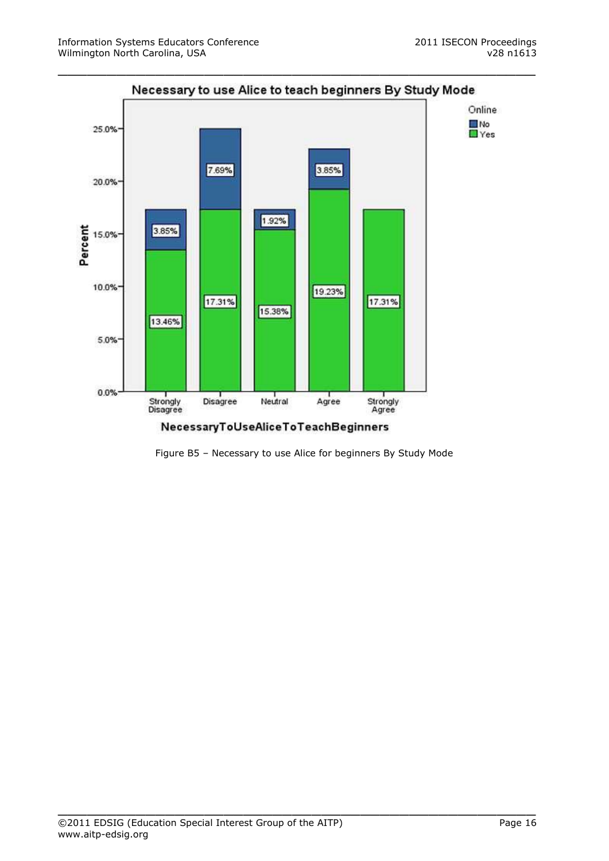

NecessaryToUseAliceToTeachBeginners

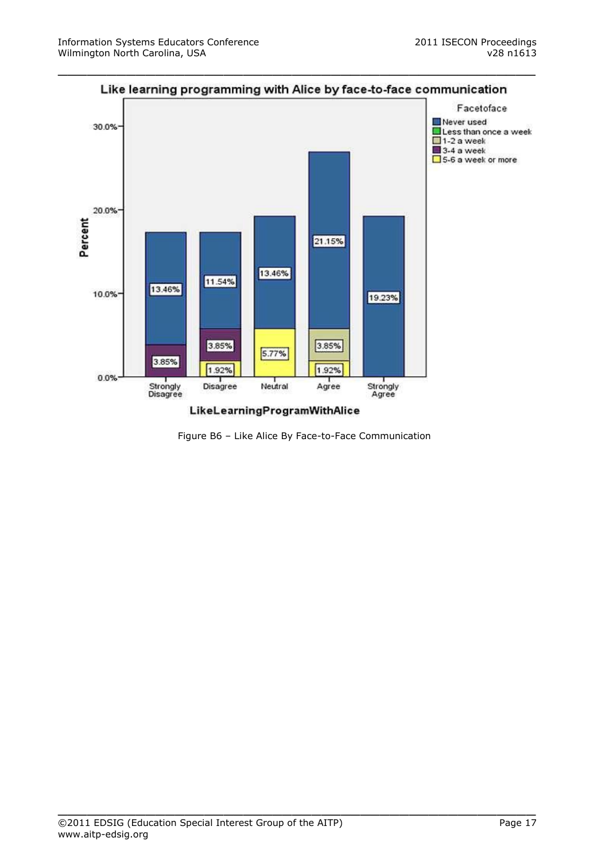

Figure B6 – Like Alice By Face-to-Face Communication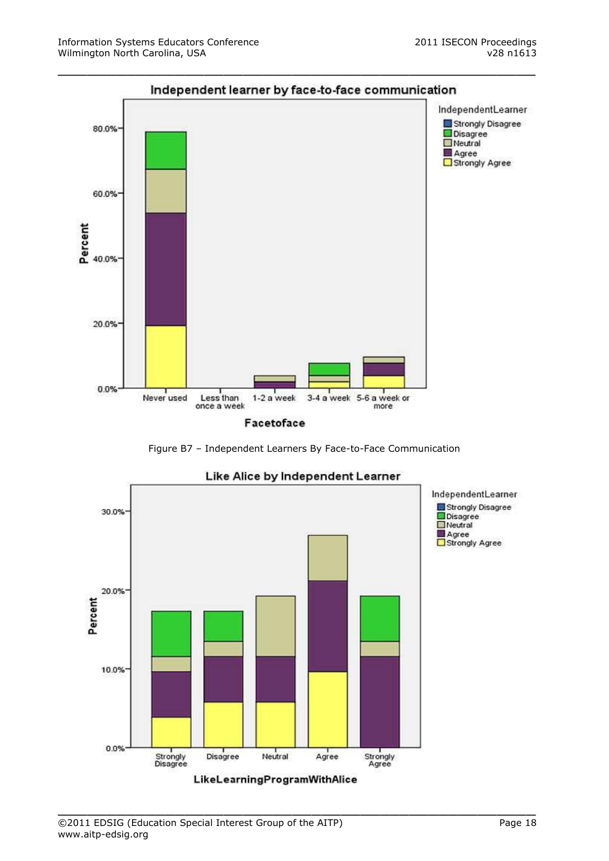





# Like Alice by Independent Learner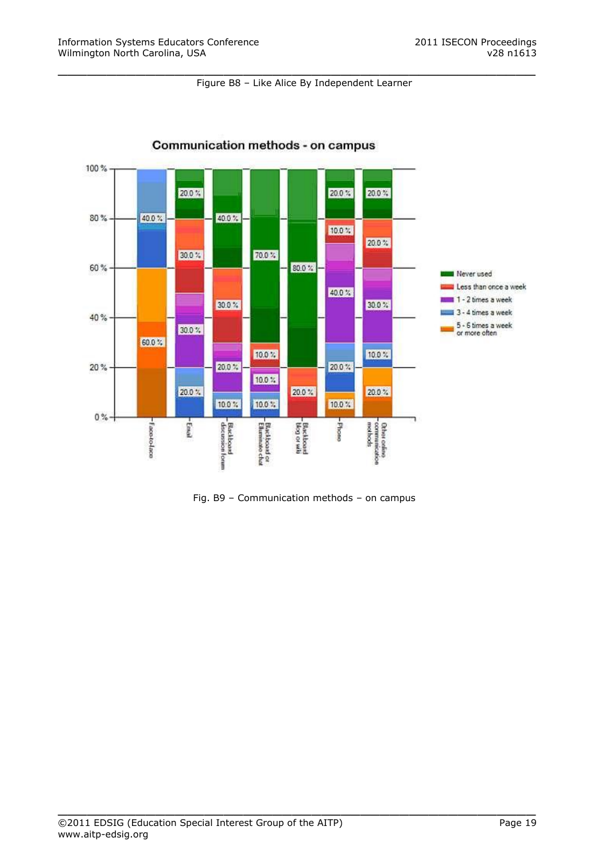#### Figure B8 – Like Alice By Independent Learner

\_\_\_\_\_\_\_\_\_\_\_\_\_\_\_\_\_\_\_\_\_\_\_\_\_\_\_\_\_\_\_\_\_\_\_\_\_\_\_\_\_\_\_\_\_\_\_\_\_



# Communication methods - on campus

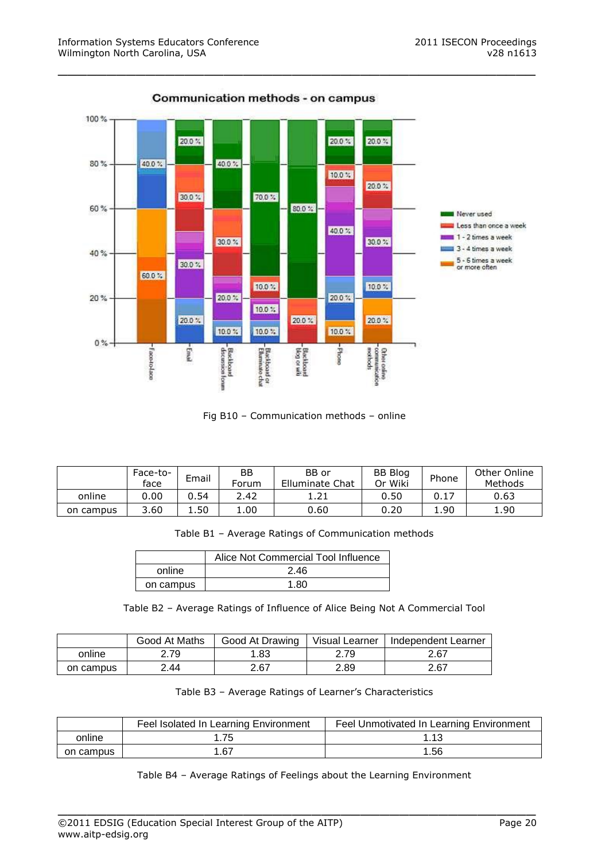

Fig B10 – Communication methods – online

|           | Face-to-<br>face | Email | ΒB<br>Forum | BB or<br>Elluminate Chat | <b>BB Blog</b><br>Or Wiki | Phone | Other Online<br>Methods |
|-----------|------------------|-------|-------------|--------------------------|---------------------------|-------|-------------------------|
| online    | 0.00             | 0.54  | 2.42        | 1.21                     | 0.50                      |       | 0.63                    |
| on campus | 3.60             | 1.50  | 1.00        | 0.60                     | 0.20                      | 1.90  | 1.90                    |

Table B1 – Average Ratings of Communication methods

|           | Alice Not Commercial Tool Influence |
|-----------|-------------------------------------|
| online    | 2.46                                |
| on campus | 1.80                                |

Table B2 – Average Ratings of Influence of Alice Being Not A Commercial Tool

|           | Good At Maths | Good At Drawing | Visual Learner | Independent Learner |
|-----------|---------------|-----------------|----------------|---------------------|
| online    | 2.79          | 1.83            | 2.79           | 2.67                |
| on campus | 2.44          | 2.67            | 2.89           | 2.67                |

Table B3 – Average Ratings of Learner's Characteristics

|           | Feel Isolated In Learning Environment | Feel Unmotivated In Learning Environment |
|-----------|---------------------------------------|------------------------------------------|
| online    | .75                                   | 1.13                                     |
| on campus | 67،،                                  | 1.56                                     |

Table B4 – Average Ratings of Feelings about the Learning Environment